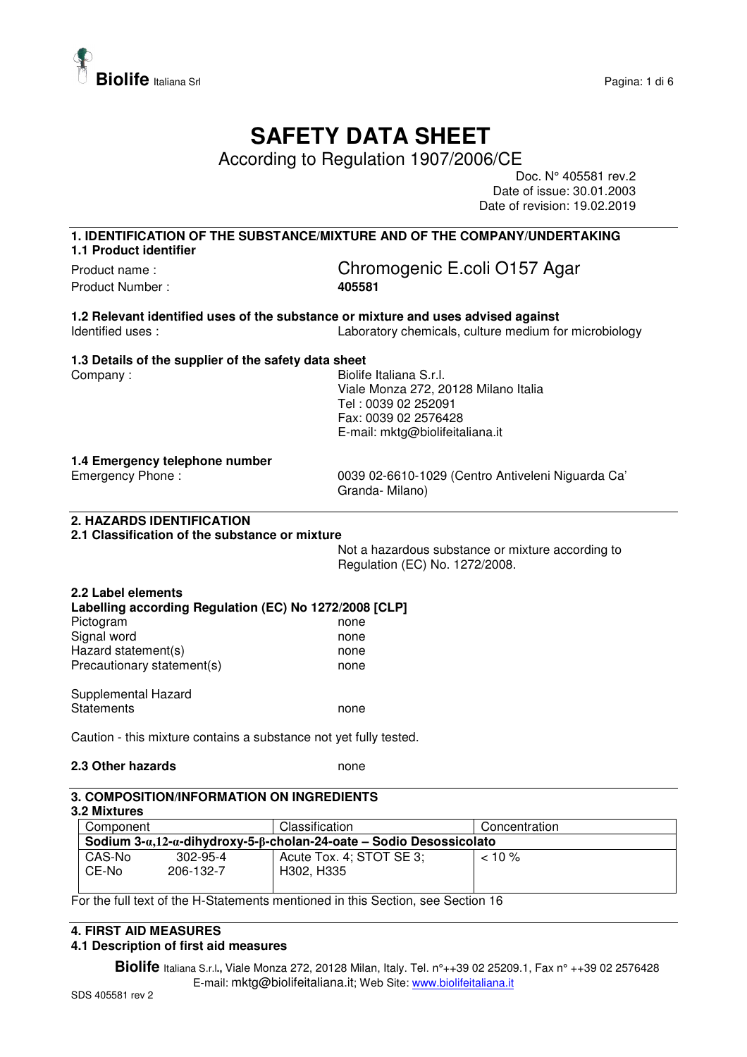

# **SAFETY DATA SHEET**

According to Regulation 1907/2006/CE

Doc. N° 405581 rev.2 Date of issue: 30.01.2003 Date of revision: 19.02.2019

# **1. IDENTIFICATION OF THE SUBSTANCE/MIXTURE AND OF THE COMPANY/UNDERTAKING**

**1.1 Product identifier**  Product Number : **405581** 

# Product name : Chromogenic E.coli O157 Agar

**1.2 Relevant identified uses of the substance or mixture and uses advised against**  Identified uses : Laboratory chemicals, culture medium for microbiology

#### **1.3 Details of the supplier of the safety data sheet**

Company : Company : Georgia Company : Company : Georgia Company : Georgia Company : Georgia Company : Georgia Company in the Biolife Italiana S.r.l. Viale Monza 272, 20128 Milano Italia Tel : 0039 02 252091 Fax: 0039 02 2576428 E-mail: mktg@biolifeitaliana.it

#### **1.4 Emergency telephone number**

Emergency Phone : 0039 02-6610-1029 (Centro Antiveleni Niguarda Ca' Granda- Milano)

## **2. HAZARDS IDENTIFICATION**

#### **2.1 Classification of the substance or mixture**

Not a hazardous substance or mixture according to Regulation (EC) No. 1272/2008.

### **2.2 Label elements Labelling according Regulation (EC) No 1272/2008 [CLP]**  Pictogram none none Signal word none none Hazard statement(s) none Precautionary statement(s) none Supplemental Hazard

Statements none

Caution - this mixture contains a substance not yet fully tested.

#### **2.3 Other hazards** none

#### **3. COMPOSITION/INFORMATION ON INGREDIENTS**

#### **3.2 Mixtures**

| Component                                                                     |                | Classification           | Concentration                        |  |
|-------------------------------------------------------------------------------|----------------|--------------------------|--------------------------------------|--|
| Sodium $3-a,12-a$ -dihydroxy-5- $\beta$ -cholan-24-oate – Sodio Desossicolato |                |                          |                                      |  |
| CAS-No                                                                        | $302 - 95 - 4$ | Acute Tox. 4; STOT SE 3; | $< 10 \%$                            |  |
| CE-No                                                                         | 206-132-7      | H302, H335               |                                      |  |
|                                                                               |                | $\cdots$ $\cdots$<br>. . | <u>_</u><br>$\overline{\phantom{a}}$ |  |

For the full text of the H-Statements mentioned in this Section, see Section 16

## **4. FIRST AID MEASURES**

#### **4.1 Description of first aid measures**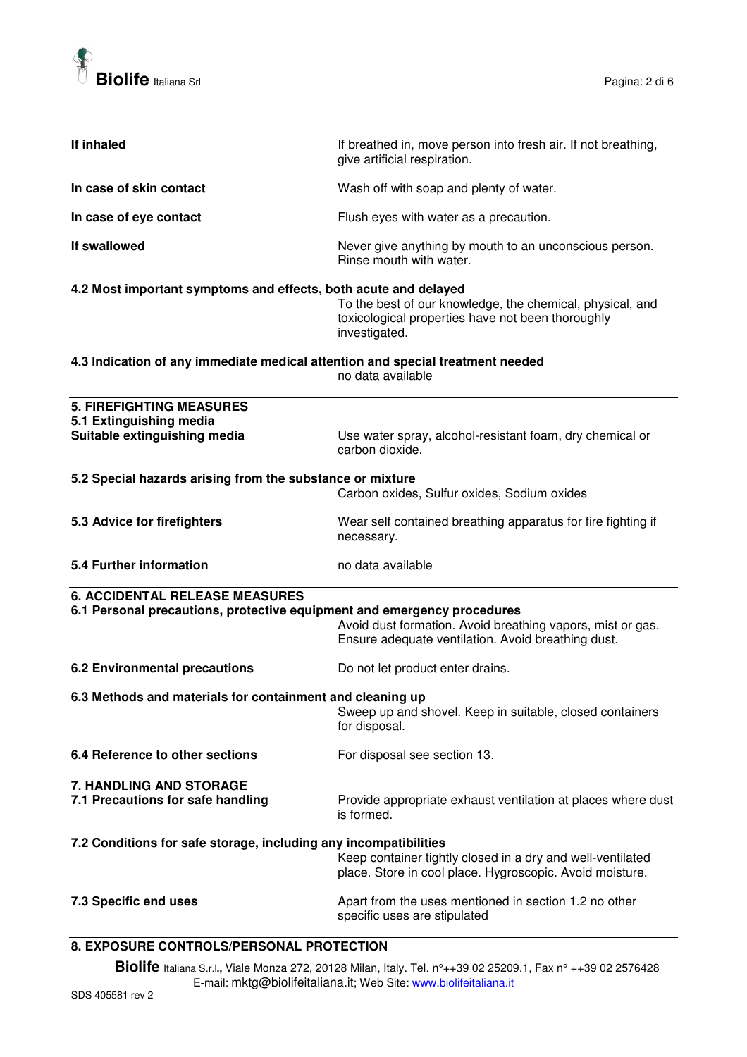

| If inhaled                                                                     | If breathed in, move person into fresh air. If not breathing,<br>give artificial respiration.                                   |  |
|--------------------------------------------------------------------------------|---------------------------------------------------------------------------------------------------------------------------------|--|
| In case of skin contact                                                        | Wash off with soap and plenty of water.                                                                                         |  |
| In case of eye contact                                                         | Flush eyes with water as a precaution.                                                                                          |  |
| If swallowed                                                                   | Never give anything by mouth to an unconscious person.<br>Rinse mouth with water.                                               |  |
| 4.2 Most important symptoms and effects, both acute and delayed                | To the best of our knowledge, the chemical, physical, and<br>toxicological properties have not been thoroughly<br>investigated. |  |
| 4.3 Indication of any immediate medical attention and special treatment needed | no data available                                                                                                               |  |
| <b>5. FIREFIGHTING MEASURES</b>                                                |                                                                                                                                 |  |
| 5.1 Extinguishing media                                                        |                                                                                                                                 |  |
| Suitable extinguishing media                                                   | Use water spray, alcohol-resistant foam, dry chemical or<br>carbon dioxide.                                                     |  |
| 5.2 Special hazards arising from the substance or mixture                      |                                                                                                                                 |  |
|                                                                                | Carbon oxides, Sulfur oxides, Sodium oxides                                                                                     |  |
| 5.3 Advice for firefighters                                                    | Wear self contained breathing apparatus for fire fighting if<br>necessary.                                                      |  |
| 5.4 Further information                                                        | no data available                                                                                                               |  |
| <b>6. ACCIDENTAL RELEASE MEASURES</b>                                          |                                                                                                                                 |  |
| 6.1 Personal precautions, protective equipment and emergency procedures        |                                                                                                                                 |  |
|                                                                                | Avoid dust formation. Avoid breathing vapors, mist or gas.<br>Ensure adequate ventilation. Avoid breathing dust.                |  |
| 6.2 Environmental precautions                                                  | Do not let product enter drains.                                                                                                |  |
| 6.3 Methods and materials for containment and cleaning up                      |                                                                                                                                 |  |
|                                                                                | Sweep up and shovel. Keep in suitable, closed containers<br>for disposal.                                                       |  |
| 6.4 Reference to other sections                                                | For disposal see section 13.                                                                                                    |  |
| 7. HANDLING AND STORAGE                                                        |                                                                                                                                 |  |
| 7.1 Precautions for safe handling                                              | Provide appropriate exhaust ventilation at places where dust<br>is formed.                                                      |  |
|                                                                                |                                                                                                                                 |  |
| 7.2 Conditions for safe storage, including any incompatibilities               | Keep container tightly closed in a dry and well-ventilated<br>place. Store in cool place. Hygroscopic. Avoid moisture.          |  |
| 7.3 Specific end uses                                                          | Apart from the uses mentioned in section 1.2 no other<br>specific uses are stipulated                                           |  |
| 8. EXPOSURE CONTROLS/PERSONAL PROTECTION                                       |                                                                                                                                 |  |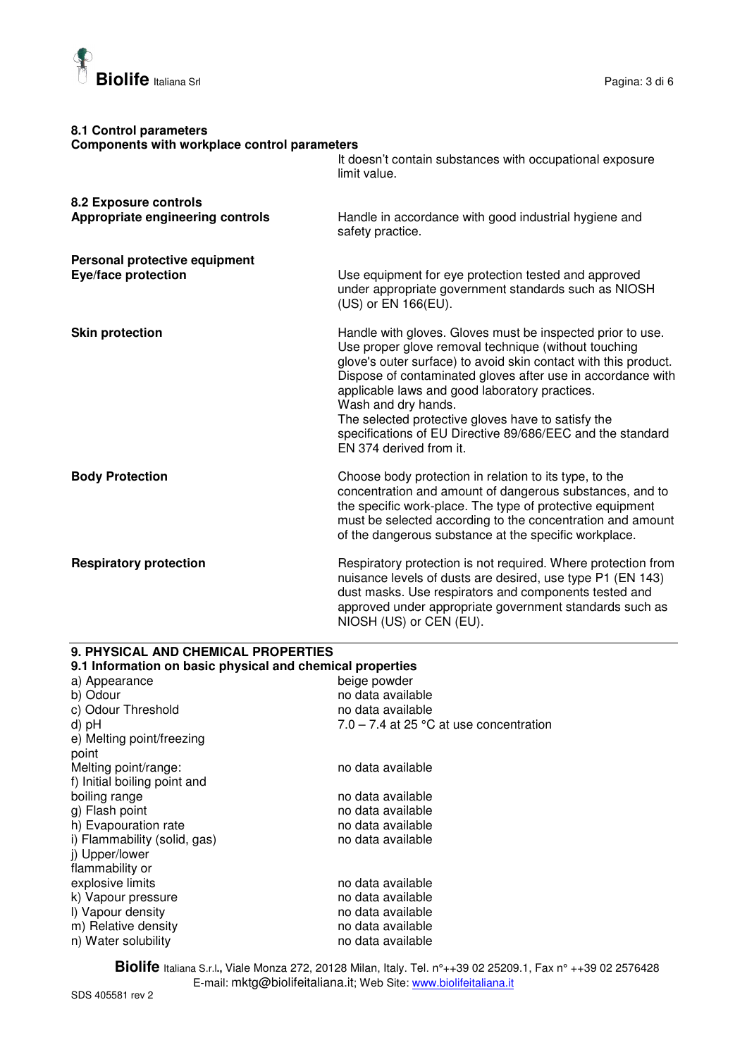

| 8.1 Control parameters<br>Components with workplace control parameters |                                                                                                                                                                                                                                                                                                                                                                                                                                                                              |
|------------------------------------------------------------------------|------------------------------------------------------------------------------------------------------------------------------------------------------------------------------------------------------------------------------------------------------------------------------------------------------------------------------------------------------------------------------------------------------------------------------------------------------------------------------|
|                                                                        | It doesn't contain substances with occupational exposure<br>limit value.                                                                                                                                                                                                                                                                                                                                                                                                     |
| 8.2 Exposure controls                                                  |                                                                                                                                                                                                                                                                                                                                                                                                                                                                              |
| Appropriate engineering controls                                       | Handle in accordance with good industrial hygiene and<br>safety practice.                                                                                                                                                                                                                                                                                                                                                                                                    |
| Personal protective equipment                                          |                                                                                                                                                                                                                                                                                                                                                                                                                                                                              |
| Eye/face protection                                                    | Use equipment for eye protection tested and approved<br>under appropriate government standards such as NIOSH<br>(US) or EN 166(EU).                                                                                                                                                                                                                                                                                                                                          |
| <b>Skin protection</b>                                                 | Handle with gloves. Gloves must be inspected prior to use.<br>Use proper glove removal technique (without touching<br>glove's outer surface) to avoid skin contact with this product.<br>Dispose of contaminated gloves after use in accordance with<br>applicable laws and good laboratory practices.<br>Wash and dry hands.<br>The selected protective gloves have to satisfy the<br>specifications of EU Directive 89/686/EEC and the standard<br>EN 374 derived from it. |
| <b>Body Protection</b>                                                 | Choose body protection in relation to its type, to the<br>concentration and amount of dangerous substances, and to<br>the specific work-place. The type of protective equipment<br>must be selected according to the concentration and amount<br>of the dangerous substance at the specific workplace.                                                                                                                                                                       |
| <b>Respiratory protection</b>                                          | Respiratory protection is not required. Where protection from<br>nuisance levels of dusts are desired, use type P1 (EN 143)<br>dust masks. Use respirators and components tested and<br>approved under appropriate government standards such as<br>NIOSH (US) or CEN (EU).                                                                                                                                                                                                   |

# **9. PHYSICAL AND CHEMICAL PROPERTIES**

| 9.1 Information on basic physical and chemical properties |                                           |  |
|-----------------------------------------------------------|-------------------------------------------|--|
| a) Appearance                                             | beige powder                              |  |
| b) Odour                                                  | no data available                         |  |
| c) Odour Threshold                                        | no data available                         |  |
| d) pH                                                     | $7.0 - 7.4$ at 25 °C at use concentration |  |
| e) Melting point/freezing                                 |                                           |  |
| point                                                     |                                           |  |
| Melting point/range:                                      | no data available                         |  |
| f) Initial boiling point and                              |                                           |  |
| boiling range                                             | no data available                         |  |
| g) Flash point                                            | no data available                         |  |
| h) Evapouration rate                                      | no data available                         |  |
| i) Flammability (solid, gas)                              | no data available                         |  |
| j) Upper/lower                                            |                                           |  |
| flammability or                                           |                                           |  |
| explosive limits                                          | no data available                         |  |
| k) Vapour pressure                                        | no data available                         |  |
| I) Vapour density                                         | no data available                         |  |
| m) Relative density                                       | no data available                         |  |
| n) Water solubility                                       | no data available                         |  |
|                                                           |                                           |  |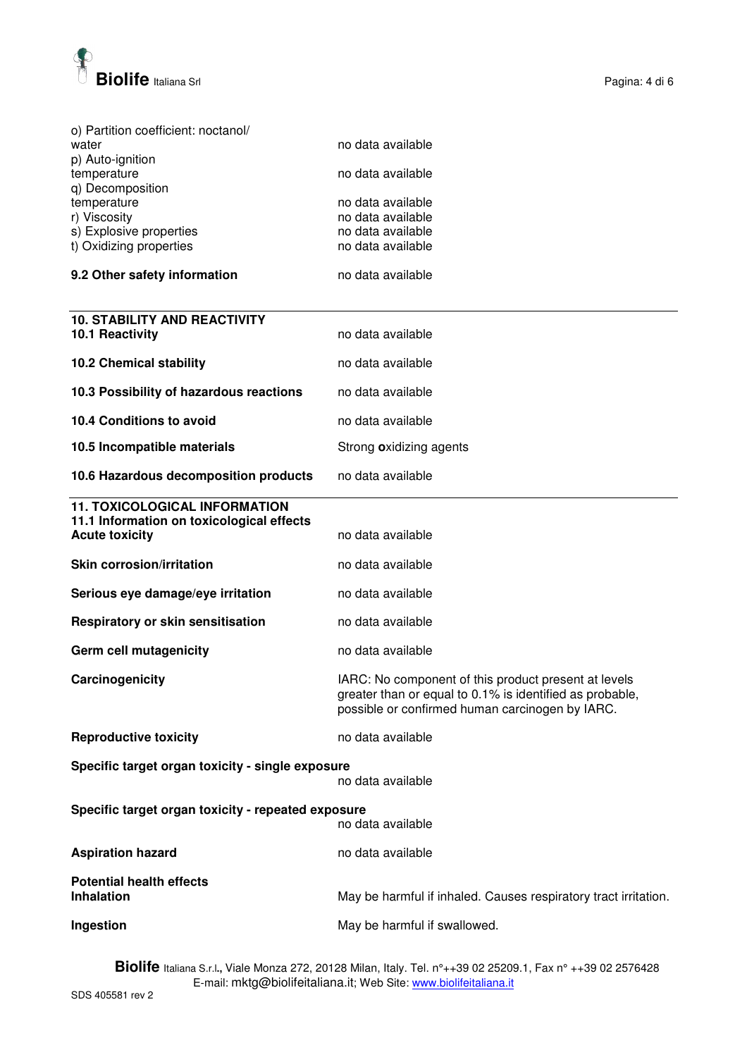

| o) Partition coefficient: noctanol/<br>water<br>p) Auto-ignition<br>temperature<br>q) Decomposition<br>temperature<br>r) Viscosity<br>s) Explosive properties<br>t) Oxidizing properties<br>9.2 Other safety information | no data available<br>no data available<br>no data available<br>no data available<br>no data available<br>no data available<br>no data available                     |  |
|--------------------------------------------------------------------------------------------------------------------------------------------------------------------------------------------------------------------------|---------------------------------------------------------------------------------------------------------------------------------------------------------------------|--|
|                                                                                                                                                                                                                          |                                                                                                                                                                     |  |
| <b>10. STABILITY AND REACTIVITY</b><br>10.1 Reactivity                                                                                                                                                                   | no data available                                                                                                                                                   |  |
| <b>10.2 Chemical stability</b>                                                                                                                                                                                           | no data available                                                                                                                                                   |  |
| 10.3 Possibility of hazardous reactions                                                                                                                                                                                  | no data available                                                                                                                                                   |  |
| 10.4 Conditions to avoid                                                                                                                                                                                                 | no data available                                                                                                                                                   |  |
| 10.5 Incompatible materials                                                                                                                                                                                              | Strong oxidizing agents                                                                                                                                             |  |
| 10.6 Hazardous decomposition products                                                                                                                                                                                    | no data available                                                                                                                                                   |  |
| <b>11. TOXICOLOGICAL INFORMATION</b><br>11.1 Information on toxicological effects<br><b>Acute toxicity</b>                                                                                                               | no data available                                                                                                                                                   |  |
| <b>Skin corrosion/irritation</b>                                                                                                                                                                                         | no data available                                                                                                                                                   |  |
| Serious eye damage/eye irritation                                                                                                                                                                                        | no data available                                                                                                                                                   |  |
| Respiratory or skin sensitisation                                                                                                                                                                                        | no data available                                                                                                                                                   |  |
| <b>Germ cell mutagenicity</b>                                                                                                                                                                                            | no data available                                                                                                                                                   |  |
| Carcinogenicity                                                                                                                                                                                                          | IARC: No component of this product present at levels<br>greater than or equal to 0.1% is identified as probable,<br>possible or confirmed human carcinogen by IARC. |  |
| <b>Reproductive toxicity</b>                                                                                                                                                                                             | no data available                                                                                                                                                   |  |
| Specific target organ toxicity - single exposure<br>no data available                                                                                                                                                    |                                                                                                                                                                     |  |
| Specific target organ toxicity - repeated exposure<br>no data available                                                                                                                                                  |                                                                                                                                                                     |  |
| <b>Aspiration hazard</b>                                                                                                                                                                                                 | no data available                                                                                                                                                   |  |
| <b>Potential health effects</b><br><b>Inhalation</b>                                                                                                                                                                     | May be harmful if inhaled. Causes respiratory tract irritation.                                                                                                     |  |
| Ingestion                                                                                                                                                                                                                | May be harmful if swallowed.                                                                                                                                        |  |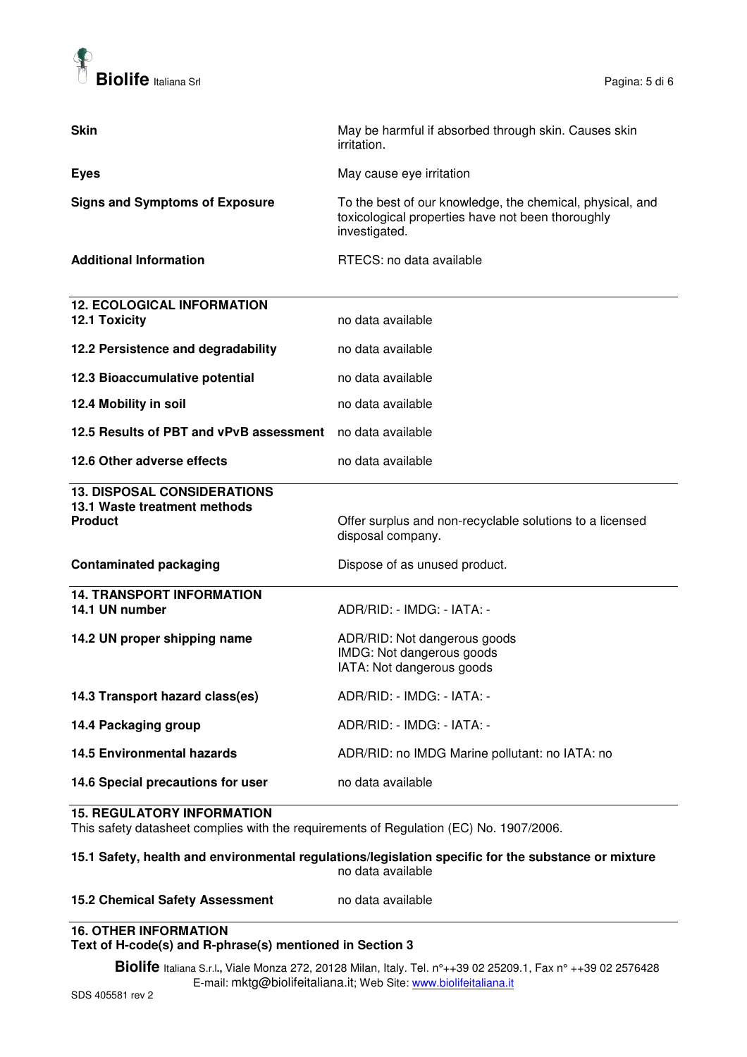

| <b>Skin</b>                                                                          | May be harmful if absorbed through skin. Causes skin<br>irritation.                                                             |
|--------------------------------------------------------------------------------------|---------------------------------------------------------------------------------------------------------------------------------|
| <b>Eyes</b>                                                                          | May cause eye irritation                                                                                                        |
| <b>Signs and Symptoms of Exposure</b>                                                | To the best of our knowledge, the chemical, physical, and<br>toxicological properties have not been thoroughly<br>investigated. |
| <b>Additional Information</b>                                                        | RTECS: no data available                                                                                                        |
| <b>12. ECOLOGICAL INFORMATION</b><br><b>12.1 Toxicity</b>                            | no data available                                                                                                               |
| 12.2 Persistence and degradability                                                   | no data available                                                                                                               |
| 12.3 Bioaccumulative potential                                                       | no data available                                                                                                               |
| 12.4 Mobility in soil                                                                | no data available                                                                                                               |
| 12.5 Results of PBT and vPvB assessment no data available                            |                                                                                                                                 |
| 12.6 Other adverse effects                                                           | no data available                                                                                                               |
| <b>13. DISPOSAL CONSIDERATIONS</b><br>13.1 Waste treatment methods<br><b>Product</b> | Offer surplus and non-recyclable solutions to a licensed<br>disposal company.                                                   |
| <b>Contaminated packaging</b>                                                        | Dispose of as unused product.                                                                                                   |
| <b>14. TRANSPORT INFORMATION</b><br>14.1 UN number                                   | ADR/RID: - IMDG: - IATA: -                                                                                                      |
| 14.2 UN proper shipping name                                                         | ADR/RID: Not dangerous goods<br>IMDG: Not dangerous goods<br>IATA: Not dangerous goods                                          |
| 14.3 Transport hazard class(es)                                                      | ADR/RID: - IMDG: - IATA: -                                                                                                      |
| 14.4 Packaging group                                                                 | ADR/RID: - IMDG: - IATA: -                                                                                                      |
| <b>14.5 Environmental hazards</b>                                                    | ADR/RID: no IMDG Marine pollutant: no IATA: no                                                                                  |
| 14.6 Special precautions for user                                                    | no data available                                                                                                               |

#### **15. REGULATORY INFORMATION**

This safety datasheet complies with the requirements of Regulation (EC) No. 1907/2006.

#### **15.1 Safety, health and environmental regulations/legislation specific for the substance or mixture**  no data available

#### **15.2 Chemical Safety Assessment** no data available

#### **16. OTHER INFORMATION Text of H-code(s) and R-phrase(s) mentioned in Section 3**